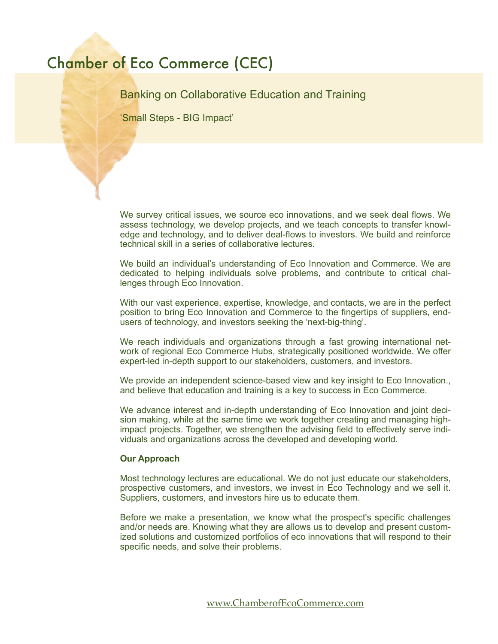## Chamber of Eco Commerce (CEC)

Banking on Collaborative Education and Training

'Small Steps - BIG Impact'

We survey critical issues, we source eco innovations, and we seek deal flows. We assess technology, we develop projects, and we teach concepts to transfer knowledge and technology, and to deliver deal-flows to investors. We build and reinforce technical skill in a series of collaborative lectures.

We build an individual's understanding of Eco Innovation and Commerce. We are dedicated to helping individuals solve problems, and contribute to critical challenges through Eco Innovation.

With our vast experience, expertise, knowledge, and contacts, we are in the perfect position to bring Eco Innovation and Commerce to the fingertips of suppliers, endusers of technology, and investors seeking the 'next-big-thing'.

We reach individuals and organizations through a fast growing international network of regional Eco Commerce Hubs, strategically positioned worldwide. We offer expert-led in-depth support to our stakeholders, customers, and investors.

We provide an independent science-based view and key insight to Eco Innovation., and believe that education and training is a key to success in Eco Commerce.

We advance interest and in-depth understanding of Eco Innovation and joint decision making, while at the same time we work together creating and managing highimpact projects. Together, we strengthen the advising field to effectively serve individuals and organizations across the developed and developing world.

## **Our Approach**

Most technology lectures are educational. We do not just educate our stakeholders, prospective customers, and investors, we invest in Eco Technology and we sell it. Suppliers, customers, and investors hire us to educate them.

Before we make a presentation, we know what the prospect's specific challenges and/or needs are. Knowing what they are allows us to develop and present customized solutions and customized portfolios of eco innovations that will respond to their specific needs, and solve their problems.